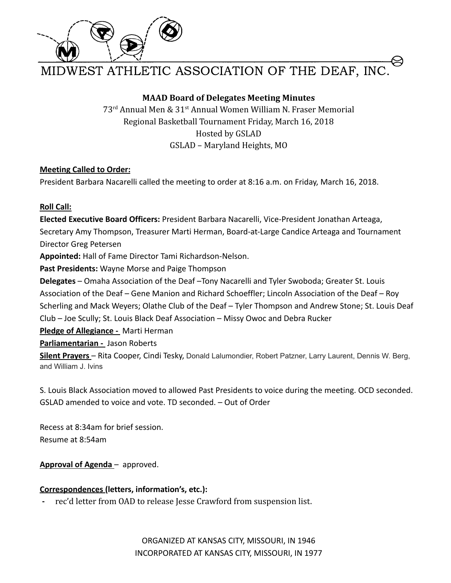

WEST ATHLETIC ASSOCIATION OF THE DEAF, INC.

# **MAAD Board of Delegates Meeting Minutes**

73rd Annual Men & 31st Annual Women William N. Fraser Memorial Regional Basketball Tournament Friday, March 16, 2018 Hosted by GSLAD GSLAD – Maryland Heights, MO

# **Meeting Called to Order:**

President Barbara Nacarelli called the meeting to order at 8:16 a.m. on Friday, March 16, 2018.

# **Roll Call:**

**Elected Executive Board Officers:** President Barbara Nacarelli, Vice-President Jonathan Arteaga, Secretary Amy Thompson, Treasurer Marti Herman, Board-at-Large Candice Arteaga and Tournament Director Greg Petersen

**Appointed:** Hall of Fame Director Tami Richardson-Nelson.

**Past Presidents:** Wayne Morse and Paige Thompson

**Delegates** – Omaha Association of the Deaf –Tony Nacarelli and Tyler Swoboda; Greater St. Louis Association of the Deaf – Gene Manion and Richard Schoeffler; Lincoln Association of the Deaf – Roy Scherling and Mack Weyers; Olathe Club of the Deaf – Tyler Thompson and Andrew Stone; St. Louis Deaf Club – Joe Scully; St. Louis Black Deaf Association – Missy Owoc and Debra Rucker

**Pledge of Allegiance -** Marti Herman

**Parliamentarian -** Jason Roberts

**Silent Prayers** – Rita Cooper, Cindi Tesky, Donald Lalumondier, Robert Patzner, Larry Laurent, Dennis W. Berg, and William J. Ivins

S. Louis Black Association moved to allowed Past Presidents to voice during the meeting. OCD seconded. GSLAD amended to voice and vote. TD seconded. – Out of Order

Recess at 8:34am for brief session. Resume at 8:54am

**Approval of Agenda** – approved.

# **Correspondences (letters, information's, etc.):**

**-** rec'd letter from OAD to release Jesse Crawford from suspension list.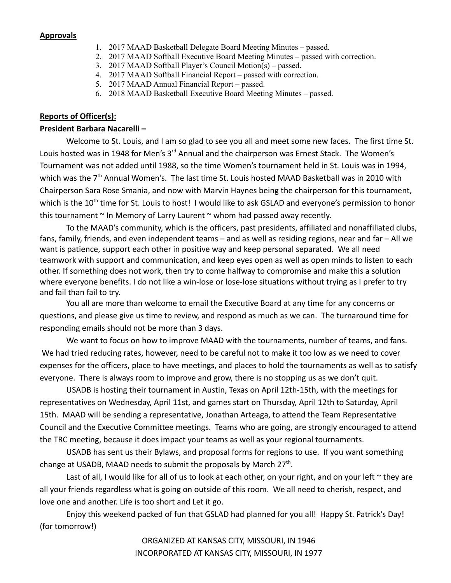#### **Approvals**

- 1. 2017 MAAD Basketball Delegate Board Meeting Minutes passed.
- 2. 2017 MAAD Softball Executive Board Meeting Minutes passed with correction.
- 3. 2017 MAAD Softball Player's Council Motion(s) passed.
- 4. 2017 MAAD Softball Financial Report passed with correction.
- 5. 2017 MAAD Annual Financial Report passed.
- 6. 2018 MAAD Basketball Executive Board Meeting Minutes passed.

### **Reports of Officer(s):**

#### **President Barbara Nacarelli –**

Welcome to St. Louis, and I am so glad to see you all and meet some new faces. The first time St. Louis hosted was in 1948 for Men's 3<sup>rd</sup> Annual and the chairperson was Ernest Stack. The Women's Tournament was not added until 1988, so the time Women's tournament held in St. Louis was in 1994, which was the  $7<sup>th</sup>$  Annual Women's. The last time St. Louis hosted MAAD Basketball was in 2010 with Chairperson Sara Rose Smania, and now with Marvin Haynes being the chairperson for this tournament, which is the 10<sup>th</sup> time for St. Louis to host! I would like to ask GSLAD and everyone's permission to honor this tournament  $\sim$  In Memory of Larry Laurent  $\sim$  whom had passed away recently.

To the MAAD's community, which is the officers, past presidents, affiliated and nonaffiliated clubs, fans, family, friends, and even independent teams – and as well as residing regions, near and far – All we want is patience, support each other in positive way and keep personal separated. We all need teamwork with support and communication, and keep eyes open as well as open minds to listen to each other. If something does not work, then try to come halfway to compromise and make this a solution where everyone benefits. I do not like a win-lose or lose-lose situations without trying as I prefer to try and fail than fail to try.

You all are more than welcome to email the Executive Board at any time for any concerns or questions, and please give us time to review, and respond as much as we can. The turnaround time for responding emails should not be more than 3 days.

We want to focus on how to improve MAAD with the tournaments, number of teams, and fans. We had tried reducing rates, however, need to be careful not to make it too low as we need to cover expenses for the officers, place to have meetings, and places to hold the tournaments as well as to satisfy everyone. There is always room to improve and grow, there is no stopping us as we don't quit.

USADB is hosting their tournament in Austin, Texas on April 12th-15th, with the meetings for representatives on Wednesday, April 11st, and games start on Thursday, April 12th to Saturday, April 15th. MAAD will be sending a representative, Jonathan Arteaga, to attend the Team Representative Council and the Executive Committee meetings. Teams who are going, are strongly encouraged to attend the TRC meeting, because it does impact your teams as well as your regional tournaments.

USADB has sent us their Bylaws, and proposal forms for regions to use. If you want something change at USADB, MAAD needs to submit the proposals by March 27<sup>th</sup>.

Last of all, I would like for all of us to look at each other, on your right, and on your left  $\sim$  they are all your friends regardless what is going on outside of this room. We all need to cherish, respect, and love one and another. Life is too short and Let it go.

Enjoy this weekend packed of fun that GSLAD had planned for you all! Happy St. Patrick's Day! (for tomorrow!)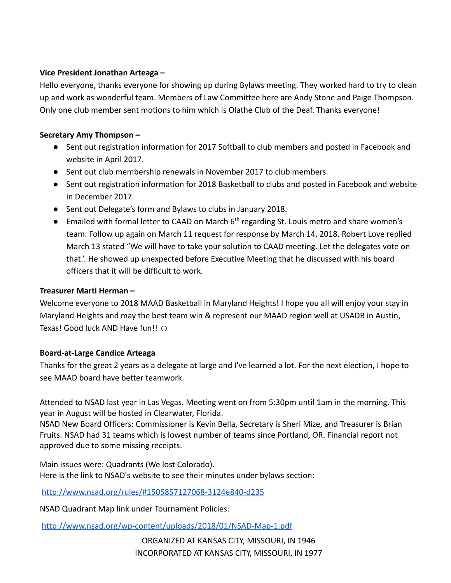# **Vice President Jonathan Arteaga –**

Hello everyone, thanks everyone for showing up during Bylaws meeting. They worked hard to try to clean up and work as wonderful team. Members of Law Committee here are Andy Stone and Paige Thompson. Only one club member sent motions to him which is Olathe Club of the Deaf. Thanks everyone!

# **Secretary Amy Thompson –**

- Sent out registration information for 2017 Softball to club members and posted in Facebook and website in April 2017.
- Sent out club membership renewals in November 2017 to club members.
- Sent out registration information for 2018 Basketball to clubs and posted in Facebook and website in December 2017.
- Sent out Delegate's form and Bylaws to clubs in January 2018.
- Emailed with formal letter to CAAD on March 6<sup>th</sup> regarding St. Louis metro and share women's team. Follow up again on March 11 request for response by March 14, 2018. Robert Love replied March 13 stated "We will have to take your solution to CAAD meeting. Let the delegates vote on that.'. He showed up unexpected before Executive Meeting that he discussed with his board officers that it will be difficult to work.

# **Treasurer Marti Herman –**

Welcome everyone to 2018 MAAD Basketball in Maryland Heights! I hope you all will enjoy your stay in Maryland Heights and may the best team win & represent our MAAD region well at USADB in Austin, Texas! Good luck AND Have fun!! ©

# **Board-at-Large Candice Arteaga**

Thanks for the great 2 years as a delegate at large and I've learned a lot. For the next election, I hope to see MAAD board have better teamwork.

Attended to NSAD last year in Las Vegas. Meeting went on from 5:30pm until 1am in the morning. This year in August will be hosted in Clearwater, Florida.

NSAD New Board Officers: Commissioner is Kevin Bella, Secretary is Sheri Mize, and Treasurer is Brian Fruits. NSAD had 31 teams which is lowest number of teams since Portland, OR. Financial report not approved due to some missing receipts.

Main issues were: Quadrants (We lost Colorado). Here is the link to NSAD's website to see their minutes under bylaws section:

<http://www.nsad.org/rules/#1505857127068-3124e840-d235>

NSAD Quadrant Map link under Tournament Policies:

<http://www.nsad.org/wp-content/uploads/2018/01/NSAD-Map-1.pdf>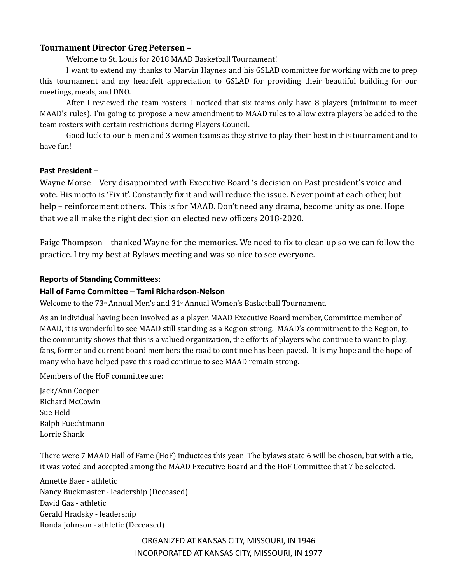## **Tournament Director Greg Petersen –**

Welcome to St. Louis for 2018 MAAD Basketball Tournament!

I want to extend my thanks to Marvin Haynes and his GSLAD committee for working with me to prep this tournament and my heartfelt appreciation to GSLAD for providing their beautiful building for our meetings, meals, and DNO.

After I reviewed the team rosters, I noticed that six teams only have 8 players (minimum to meet MAAD's rules). I'm going to propose a new amendment to MAAD rules to allow extra players be added to the team rosters with certain restrictions during Players Council.

Good luck to our 6 men and 3 women teams as they strive to play their best in this tournament and to have fun!

## **Past President –**

Wayne Morse – Very disappointed with Executive Board 's decision on Past president's voice and vote. His motto is 'Fix it'. Constantly fix it and will reduce the issue. Never point at each other, but help – reinforcement others. This is for MAAD. Don't need any drama, become unity as one. Hope that we all make the right decision on elected new officers 2018-2020.

Paige Thompson – thanked Wayne for the memories. We need to fix to clean up so we can follow the practice. I try my best at Bylaws meeting and was so nice to see everyone.

#### **Reports of Standing Committees:**

## **Hall of Fame Committee – Tami Richardson-Nelson**

Welcome to the  $73<sup>nd</sup>$  Annual Men's and  $31<sup>nd</sup>$  Annual Women's Basketball Tournament.

As an individual having been involved as a player, MAAD Executive Board member, Committee member of MAAD, it is wonderful to see MAAD still standing as a Region strong. MAAD's commitment to the Region, to the community shows that this is a valued organization, the efforts of players who continue to want to play, fans, former and current board members the road to continue has been paved. It is my hope and the hope of many who have helped pave this road continue to see MAAD remain strong.

Members of the HoF committee are:

Jack/Ann Cooper Richard McCowin Sue Held Ralph Fuechtmann Lorrie Shank

There were 7 MAAD Hall of Fame (HoF) inductees this year. The bylaws state 6 will be chosen, but with a tie, it was voted and accepted among the MAAD Executive Board and the HoF Committee that 7 be selected.

Annette Baer - athletic Nancy Buckmaster - leadership (Deceased) David Gaz - athletic Gerald Hradsky - leadership Ronda Johnson - athletic (Deceased)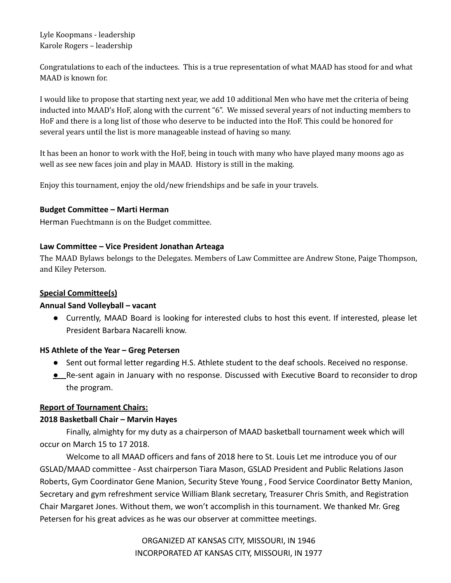Lyle Koopmans - leadership Karole Rogers – leadership

Congratulations to each of the inductees. This is a true representation of what MAAD has stood for and what MAAD is known for.

I would like to propose that starting next year, we add 10 additional Men who have met the criteria of being inducted into MAAD's HoF, along with the current "6". We missed several years of not inducting members to HoF and there is a long list of those who deserve to be inducted into the HoF. This could be honored for several years until the list is more manageable instead of having so many.

It has been an honor to work with the HoF, being in touch with many who have played many moons ago as well as see new faces join and play in MAAD. History is still in the making.

Enjoy this tournament, enjoy the old/new friendships and be safe in your travels.

## **Budget Committee – Marti Herman**

Herman Fuechtmann is on the Budget committee.

# **Law Committee – Vice President Jonathan Arteaga**

The MAAD Bylaws belongs to the Delegates. Members of Law Committee are Andrew Stone, Paige Thompson, and Kiley Peterson.

# **Special Committee(s)**

## **Annual Sand Volleyball – vacant**

**●** Currently, MAAD Board is looking for interested clubs to host this event. If interested, please let President Barbara Nacarelli know.

## **HS Athlete of the Year – Greg Petersen**

- Sent out formal letter regarding H.S. Athlete student to the deaf schools. Received no response.
- **●** Re-sent again in January with no response. Discussed with Executive Board to reconsider to drop the program.

## **Report of Tournament Chairs:**

# **2018 Basketball Chair – Marvin Hayes**

Finally, almighty for my duty as a chairperson of MAAD basketball tournament week which will occur on March 15 to 17 2018.

Welcome to all MAAD officers and fans of 2018 here to St. Louis Let me introduce you of our GSLAD/MAAD committee - Asst chairperson Tiara Mason, GSLAD President and Public Relations Jason Roberts, Gym Coordinator Gene Manion, Security Steve Young , Food Service Coordinator Betty Manion, Secretary and gym refreshment service William Blank secretary, Treasurer Chris Smith, and Registration Chair Margaret Jones. Without them, we won't accomplish in this tournament. We thanked Mr. Greg Petersen for his great advices as he was our observer at committee meetings.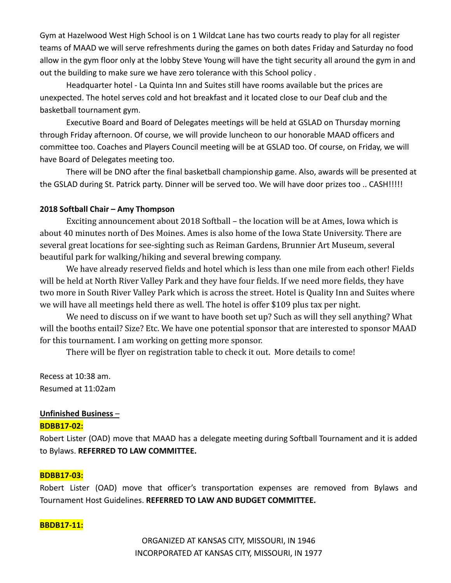Gym at Hazelwood West High School is on 1 Wildcat Lane has two courts ready to play for all register teams of MAAD we will serve refreshments during the games on both dates Friday and Saturday no food allow in the gym floor only at the lobby Steve Young will have the tight security all around the gym in and out the building to make sure we have zero tolerance with this School policy .

Headquarter hotel - La Quinta Inn and Suites still have rooms available but the prices are unexpected. The hotel serves cold and hot breakfast and it located close to our Deaf club and the basketball tournament gym.

Executive Board and Board of Delegates meetings will be held at GSLAD on Thursday morning through Friday afternoon. Of course, we will provide luncheon to our honorable MAAD officers and committee too. Coaches and Players Council meeting will be at GSLAD too. Of course, on Friday, we will have Board of Delegates meeting too.

There will be DNO after the final basketball championship game. Also, awards will be presented at the GSLAD during St. Patrick party. Dinner will be served too. We will have door prizes too .. CASH!!!!!

#### **2018 Softball Chair – Amy Thompson**

Exciting announcement about 2018 Softball – the location will be at Ames, Iowa which is about 40 minutes north of Des Moines. Ames is also home of the Iowa State University. There are several great locations for see-sighting such as Reiman Gardens, Brunnier Art Museum, several beautiful park for walking/hiking and several brewing company.

We have already reserved fields and hotel which is less than one mile from each other! Fields will be held at North River Valley Park and they have four fields. If we need more fields, they have two more in South River Valley Park which is across the street. Hotel is Quality Inn and Suites where we will have all meetings held there as well. The hotel is offer \$109 plus tax per night.

We need to discuss on if we want to have booth set up? Such as will they sell anything? What will the booths entail? Size? Etc. We have one potential sponsor that are interested to sponsor MAAD for this tournament. I am working on getting more sponsor.

There will be flyer on registration table to check it out. More details to come!

Recess at 10:38 am. Resumed at 11:02am

# **Unfinished Business** –

## **BDBB17-02:**

Robert Lister (OAD) move that MAAD has a delegate meeting during Softball Tournament and it is added to Bylaws. **REFERRED TO LAW COMMITTEE.**

## **BDBB17-03:**

Robert Lister (OAD) move that officer's transportation expenses are removed from Bylaws and Tournament Host Guidelines. **REFERRED TO LAW AND BUDGET COMMITTEE.**

#### **BBDB17-11:**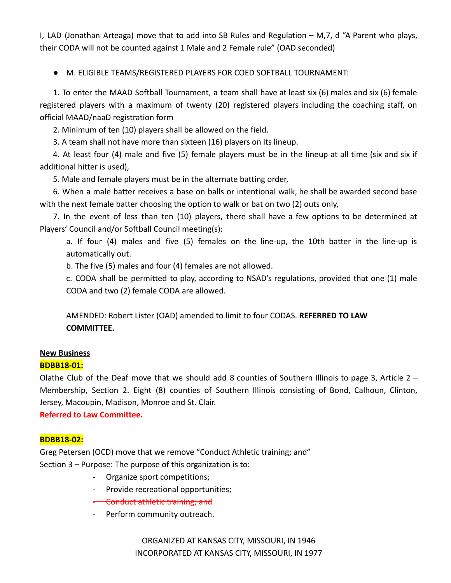I, LAD (Jonathan Arteaga) move that to add into SB Rules and Regulation – M,7, d "A Parent who plays, their CODA will not be counted against 1 Male and 2 Female rule" (OAD seconded)

● M. ELIGIBLE TEAMS/REGISTERED PLAYERS FOR COED SOFTBALL TOURNAMENT:

1. To enter the MAAD Softball Tournament, a team shall have at least six (6) males and six (6) female registered players with a maximum of twenty (20) registered players including the coaching staff, on official MAAD/naaD registration form

2. Minimum of ten (10) players shall be allowed on the field.

3. A team shall not have more than sixteen (16) players on its lineup.

4. At least four (4) male and five (5) female players must be in the lineup at all time (six and six if additional hitter is used),

5. Male and female players must be in the alternate batting order,

6. When a male batter receives a base on balls or intentional walk, he shall be awarded second base with the next female batter choosing the option to walk or bat on two (2) outs only,

7. In the event of less than ten (10) players, there shall have a few options to be determined at Players' Council and/or Softball Council meeting(s):

a. If four (4) males and five (5) females on the line-up, the 10th batter in the line-up is automatically out.

b. The five (5) males and four (4) females are not allowed.

c. CODA shall be permitted to play, according to NSAD's regulations, provided that one (1) male CODA and two (2) female CODA are allowed.

AMENDED: Robert Lister (OAD) amended to limit to four CODAS. **REFERRED TO LAW COMMITTEE.**

# **New Business**

# **BDBB18-01:**

Olathe Club of the Deaf move that we should add 8 counties of Southern Illinois to page 3, Article  $2 -$ Membership, Section 2. Eight (8) counties of Southern Illinois consisting of Bond, Calhoun, Clinton, Jersey, Macoupin, Madison, Monroe and St. Clair.

**Referred to Law Committee.**

## **BDBB18-02:**

Greg Petersen (OCD) move that we remove "Conduct Athletic training; and" Section 3 – Purpose: The purpose of this organization is to:

- Organize sport competitions;
- Provide recreational opportunities;
- Conduct athletic training; and
- Perform community outreach.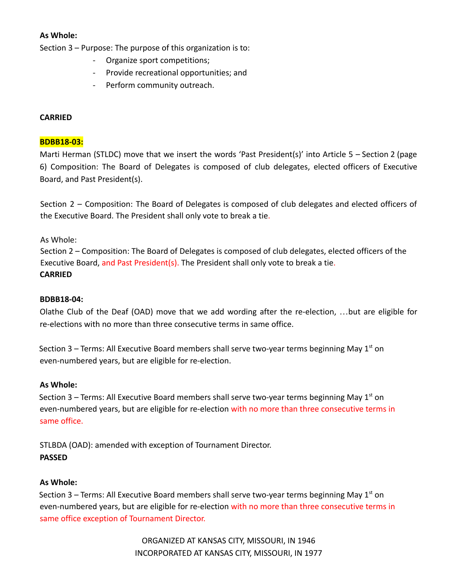# **As Whole:**

Section 3 – Purpose: The purpose of this organization is to:

- Organize sport competitions;
- Provide recreational opportunities; and
- Perform community outreach.

# **CARRIED**

### **BDBB18-03:**

Marti Herman (STLDC) move that we insert the words 'Past President(s)' into Article 5 – Section 2 (page 6) Composition: The Board of Delegates is composed of club delegates, elected officers of Executive Board, and Past President(s).

Section 2 – Composition: The Board of Delegates is composed of club delegates and elected officers of the Executive Board. The President shall only vote to break a tie.

As Whole:

Section 2 – Composition: The Board of Delegates is composed of club delegates, elected officers of the Executive Board, and Past President(s). The President shall only vote to break a tie. **CARRIED**

## **BDBB18-04:**

Olathe Club of the Deaf (OAD) move that we add wording after the re-election, …but are eligible for re-elections with no more than three consecutive terms in same office.

Section 3 – Terms: All Executive Board members shall serve two-year terms beginning May  $1<sup>st</sup>$  on even-numbered years, but are eligible for re-election.

## **As Whole:**

Section 3 – Terms: All Executive Board members shall serve two-year terms beginning May  $1<sup>st</sup>$  on even-numbered years, but are eligible for re-election with no more than three consecutive terms in same office.

STLBDA (OAD): amended with exception of Tournament Director. **PASSED**

## **As Whole:**

Section 3 – Terms: All Executive Board members shall serve two-year terms beginning May  $1<sup>st</sup>$  on even-numbered years, but are eligible for re-election with no more than three consecutive terms in same office exception of Tournament Director.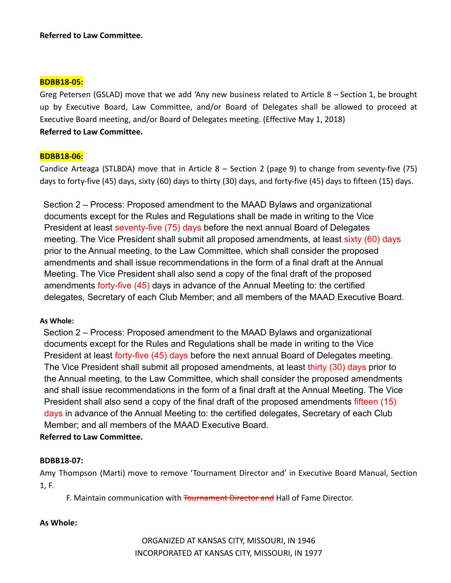#### **BDBB18-05:**

Greg Petersen (GSLAD) move that we add 'Any new business related to Article 8 – Section 1, be brought up by Executive Board, Law Committee, and/or Board of Delegates shall be allowed to proceed at Executive Board meeting, and/or Board of Delegates meeting. (Effective May 1, 2018) **Referred to Law Committee.**

#### **BDBB18-06:**

Candice Arteaga (STLBDA) move that in Article 8 – Section 2 (page 9) to change from seventy-five (75) days to forty-five (45) days, sixty (60) days to thirty (30) days, and forty-five (45) days to fifteen (15) days.

Section 2 – Process: Proposed amendment to the MAAD Bylaws and organizational documents except for the Rules and Regulations shall be made in writing to the Vice President at least seventy-five (75) days before the next annual Board of Delegates meeting. The Vice President shall submit all proposed amendments, at least sixty (60) days prior to the Annual meeting, to the Law Committee, which shall consider the proposed amendments and shall issue recommendations in the form of a final draft at the Annual Meeting. The Vice President shall also send a copy of the final draft of the proposed amendments forty-five (45) days in advance of the Annual Meeting to: the certified delegates, Secretary of each Club Member; and all members of the MAAD Executive Board.

## **As Whole:**

Section 2 – Process: Proposed amendment to the MAAD Bylaws and organizational documents except for the Rules and Regulations shall be made in writing to the Vice President at least forty-five (45) days before the next annual Board of Delegates meeting. The Vice President shall submit all proposed amendments, at least thirty (30) days prior to the Annual meeting, to the Law Committee, which shall consider the proposed amendments and shall issue recommendations in the form of a final draft at the Annual Meeting. The Vice President shall also send a copy of the final draft of the proposed amendments fifteen (15) days in advance of the Annual Meeting to: the certified delegates, Secretary of each Club Member; and all members of the MAAD Executive Board.

# **Referred to Law Committee.**

## **BDBB18-07:**

Amy Thompson (Marti) move to remove 'Tournament Director and' in Executive Board Manual, Section 1, F.

F. Maintain communication with Tournament Director and Hall of Fame Director.

## **As Whole:**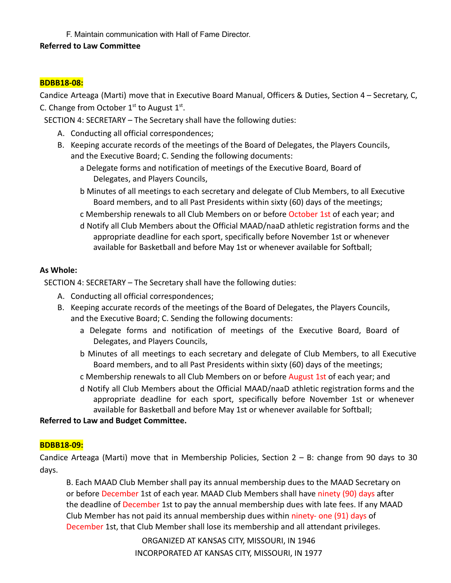F. Maintain communication with Hall of Fame Director.

## **Referred to Law Committee**

### **BDBB18-08:**

Candice Arteaga (Marti) move that in Executive Board Manual, Officers & Duties, Section 4 – Secretary, C, C. Change from October  $1<sup>st</sup>$  to August  $1<sup>st</sup>$ .

SECTION 4: SECRETARY – The Secretary shall have the following duties:

- A. Conducting all official correspondences;
- B. Keeping accurate records of the meetings of the Board of Delegates, the Players Councils, and the Executive Board; C. Sending the following documents:
	- a Delegate forms and notification of meetings of the Executive Board, Board of Delegates, and Players Councils,
	- b Minutes of all meetings to each secretary and delegate of Club Members, to all Executive Board members, and to all Past Presidents within sixty (60) days of the meetings;
	- c Membership renewals to all Club Members on or before October 1st of each year; and
	- d Notify all Club Members about the Official MAAD/naaD athletic registration forms and the appropriate deadline for each sport, specifically before November 1st or whenever available for Basketball and before May 1st or whenever available for Softball;

#### **As Whole:**

SECTION 4: SECRETARY – The Secretary shall have the following duties:

- A. Conducting all official correspondences;
- B. Keeping accurate records of the meetings of the Board of Delegates, the Players Councils, and the Executive Board; C. Sending the following documents:
	- a Delegate forms and notification of meetings of the Executive Board, Board of Delegates, and Players Councils,
	- b Minutes of all meetings to each secretary and delegate of Club Members, to all Executive Board members, and to all Past Presidents within sixty (60) days of the meetings;
	- c Membership renewals to all Club Members on or before August 1st of each year; and
	- d Notify all Club Members about the Official MAAD/naaD athletic registration forms and the appropriate deadline for each sport, specifically before November 1st or whenever available for Basketball and before May 1st or whenever available for Softball;

#### **Referred to Law and Budget Committee.**

## **BDBB18-09:**

Candice Arteaga (Marti) move that in Membership Policies, Section 2 – B: change from 90 days to 30 days.

B. Each MAAD Club Member shall pay its annual membership dues to the MAAD Secretary on or before December 1st of each year. MAAD Club Members shall have ninety (90) days after the deadline of December 1st to pay the annual membership dues with late fees. If any MAAD Club Member has not paid its annual membership dues within ninety- one (91) days of December 1st, that Club Member shall lose its membership and all attendant privileges.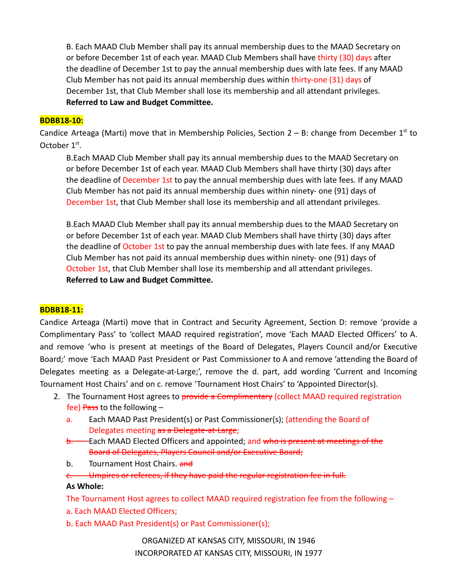B. Each MAAD Club Member shall pay its annual membership dues to the MAAD Secretary on or before December 1st of each year. MAAD Club Members shall have thirty (30) days after the deadline of December 1st to pay the annual membership dues with late fees. If any MAAD Club Member has not paid its annual membership dues within thirty-one (31) days of December 1st, that Club Member shall lose its membership and all attendant privileges. **Referred to Law and Budget Committee.**

#### **BDBB18-10:**

Candice Arteaga (Marti) move that in Membership Policies, Section  $2 - B$ : change from December  $1<sup>st</sup>$  to October  $1<sup>st</sup>$ .

B.Each MAAD Club Member shall pay its annual membership dues to the MAAD Secretary on or before December 1st of each year. MAAD Club Members shall have thirty (30) days after the deadline of December 1st to pay the annual membership dues with late fees. If any MAAD Club Member has not paid its annual membership dues within ninety- one (91) days of December 1st, that Club Member shall lose its membership and all attendant privileges.

B.Each MAAD Club Member shall pay its annual membership dues to the MAAD Secretary on or before December 1st of each year. MAAD Club Members shall have thirty (30) days after the deadline of October 1st to pay the annual membership dues with late fees. If any MAAD Club Member has not paid its annual membership dues within ninety- one (91) days of October 1st, that Club Member shall lose its membership and all attendant privileges. **Referred to Law and Budget Committee.**

#### **BDBB18-11:**

Candice Arteaga (Marti) move that in Contract and Security Agreement, Section D: remove 'provide a Complimentary Pass' to 'collect MAAD required registration', move 'Each MAAD Elected Officers' to A. and remove 'who is present at meetings of the Board of Delegates, Players Council and/or Executive Board;' move 'Each MAAD Past President or Past Commissioner to A and remove 'attending the Board of Delegates meeting as a Delegate-at-Large;', remove the d. part, add wording 'Current and Incoming Tournament Host Chairs' and on c. remove 'Tournament Host Chairs' to 'Appointed Director(s).

- 2. The Tournament Host agrees to provide a Complimentary (collect MAAD required registration fee) Pass to the following  $$ 
	- a. Each MAAD Past President(s) or Past Commissioner(s); (attending the Board of Delegates meeting as a Delegate-at-Large;
	- b. Each MAAD Elected Officers and appointed; and who is present at meetings of the Board of Delegates, Players Council and/or Executive Board;
	- b. Tournament Host Chairs. and

c. Umpires or referees, if they have paid the regular registration fee in full. **As Whole:**

The Tournament Host agrees to collect MAAD required registration fee from the following –

- a. Each MAAD Elected Officers;
- b. Each MAAD Past President(s) or Past Commissioner(s);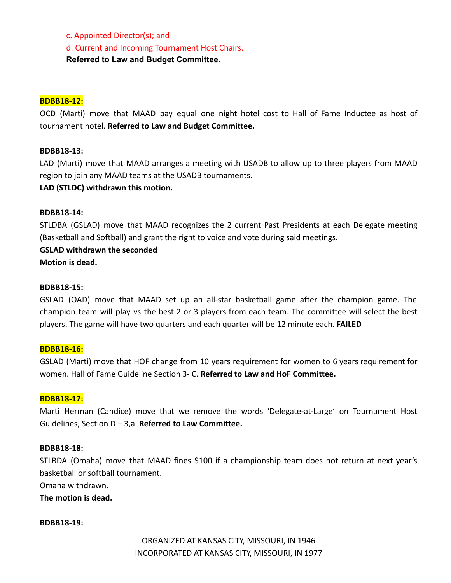c. Appointed Director(s); and

d. Current and Incoming Tournament Host Chairs.

**Referred to Law and Budget Committee**.

#### **BDBB18-12:**

OCD (Marti) move that MAAD pay equal one night hotel cost to Hall of Fame Inductee as host of tournament hotel. **Referred to Law and Budget Committee.**

#### **BDBB18-13:**

LAD (Marti) move that MAAD arranges a meeting with USADB to allow up to three players from MAAD region to join any MAAD teams at the USADB tournaments.

#### **LAD (STLDC) withdrawn this motion.**

#### **BDBB18-14:**

STLDBA (GSLAD) move that MAAD recognizes the 2 current Past Presidents at each Delegate meeting (Basketball and Softball) and grant the right to voice and vote during said meetings.

# **GSLAD withdrawn the seconded**

**Motion is dead.**

#### **BDBB18-15:**

GSLAD (OAD) move that MAAD set up an all-star basketball game after the champion game. The champion team will play vs the best 2 or 3 players from each team. The committee will select the best players. The game will have two quarters and each quarter will be 12 minute each. **FAILED**

#### **BDBB18-16:**

GSLAD (Marti) move that HOF change from 10 years requirement for women to 6 years requirement for women. Hall of Fame Guideline Section 3- C. **Referred to Law and HoF Committee.**

#### **BDBB18-17:**

Marti Herman (Candice) move that we remove the words 'Delegate-at-Large' on Tournament Host Guidelines, Section D – 3,a. **Referred to Law Committee.**

#### **BDBB18-18:**

STLBDA (Omaha) move that MAAD fines \$100 if a championship team does not return at next year's basketball or softball tournament.

Omaha withdrawn.

**The motion is dead.**

#### **BDBB18-19:**